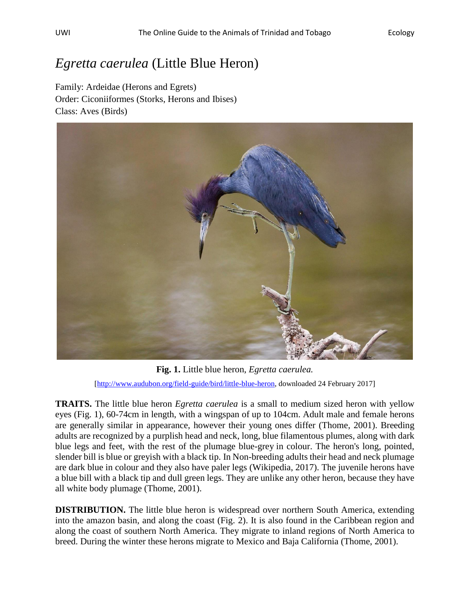## *Egretta caerulea* (Little Blue Heron)

Family: Ardeidae (Herons and Egrets) Order: Ciconiiformes (Storks, Herons and Ibises) Class: Aves (Birds)



**Fig. 1.** Little blue heron, *Egretta caerulea.* [\[http://www.audubon.org/field-guide/bird/little-blue-heron,](http://www.audubon.org/field-guide/bird/little-blue-heron) downloaded 24 February 2017]

**TRAITS.** The little blue heron *Egretta caerulea* is a small to medium sized heron with yellow eyes (Fig. 1), 60-74cm in length, with a wingspan of up to 104cm. Adult male and female herons are generally similar in appearance, however their young ones differ (Thome, 2001). Breeding adults are recognized by a purplish head and neck, long, blue filamentous plumes, along with dark blue legs and feet, with the rest of the plumage blue-grey in colour. The heron's long, pointed, slender bill is blue or greyish with a black tip. In Non-breeding adults their head and neck plumage are dark blue in colour and they also have paler legs (Wikipedia, 2017). The juvenile herons have a blue bill with a black tip and dull green legs. They are unlike any other heron, because they have all white body plumage (Thome, 2001).

**DISTRIBUTION.** The little blue heron is widespread over northern South America, extending into the amazon basin, and along the coast (Fig. 2). It is also found in the Caribbean region and along the coast of southern North America. They migrate to inland regions of North America to breed. During the winter these herons migrate to Mexico and Baja California (Thome, 2001).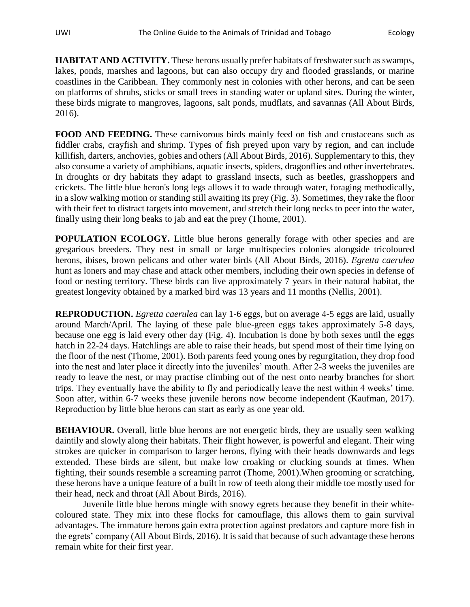**HABITAT AND ACTIVITY.** These herons usually prefer habitats of freshwater such as swamps, lakes, ponds, marshes and lagoons, but can also occupy dry and flooded grasslands, or marine coastlines in the Caribbean. They commonly nest in colonies with other herons, and can be seen on platforms of shrubs, sticks or small trees in standing water or upland sites. During the winter, these birds migrate to mangroves, lagoons, salt ponds, mudflats, and savannas (All About Birds, 2016).

**FOOD AND FEEDING.** These carnivorous birds mainly feed on fish and crustaceans such as fiddler crabs, crayfish and shrimp. Types of fish preyed upon vary by region, and can include killifish, darters, anchovies, gobies and others (All About Birds, 2016). Supplementary to this, they also consume a variety of amphibians, aquatic insects, spiders, dragonflies and other invertebrates. In droughts or dry habitats they adapt to grassland insects, such as beetles, grasshoppers and crickets. The little blue heron's long legs allows it to wade through water, foraging methodically, in a slow walking motion or standing still awaiting its prey (Fig. 3). Sometimes, they rake the floor with their feet to distract targets into movement, and stretch their long necks to peer into the water, finally using their long beaks to jab and eat the prey (Thome, 2001).

**POPULATION ECOLOGY.** Little blue herons generally forage with other species and are gregarious breeders. They nest in small or large multispecies colonies alongside tricoloured herons, ibises, brown pelicans and other water birds (All About Birds, 2016). *Egretta caerulea*  hunt as loners and may chase and attack other members, including their own species in defense of food or nesting territory. These birds can live approximately 7 years in their natural habitat, the greatest longevity obtained by a marked bird was 13 years and 11 months (Nellis, 2001).

**REPRODUCTION.** *Egretta caerulea* can lay 1-6 eggs, but on average 4-5 eggs are laid, usually around March/April. The laying of these pale blue-green eggs takes approximately 5-8 days, because one egg is laid every other day (Fig. 4). Incubation is done by both sexes until the eggs hatch in 22-24 days. Hatchlings are able to raise their heads, but spend most of their time lying on the floor of the nest (Thome, 2001). Both parents feed young ones by regurgitation, they drop food into the nest and later place it directly into the juveniles' mouth. After 2-3 weeks the juveniles are ready to leave the nest, or may practise climbing out of the nest onto nearby branches for short trips. They eventually have the ability to fly and periodically leave the nest within 4 weeks' time. Soon after, within 6-7 weeks these juvenile herons now become independent (Kaufman, 2017). Reproduction by little blue herons can start as early as one year old.

**BEHAVIOUR.** Overall, little blue herons are not energetic birds, they are usually seen walking daintily and slowly along their habitats. Their flight however, is powerful and elegant. Their wing strokes are quicker in comparison to larger herons, flying with their heads downwards and legs extended. These birds are silent, but make low croaking or clucking sounds at times. When fighting, their sounds resemble a screaming parrot (Thome, 2001).When grooming or scratching, these herons have a unique feature of a built in row of teeth along their middle toe mostly used for their head, neck and throat (All About Birds, 2016).

Juvenile little blue herons mingle with snowy egrets because they benefit in their whitecoloured state. They mix into these flocks for camouflage, this allows them to gain survival advantages. The immature herons gain extra protection against predators and capture more fish in the egrets' company (All About Birds, 2016). It is said that because of such advantage these herons remain white for their first year.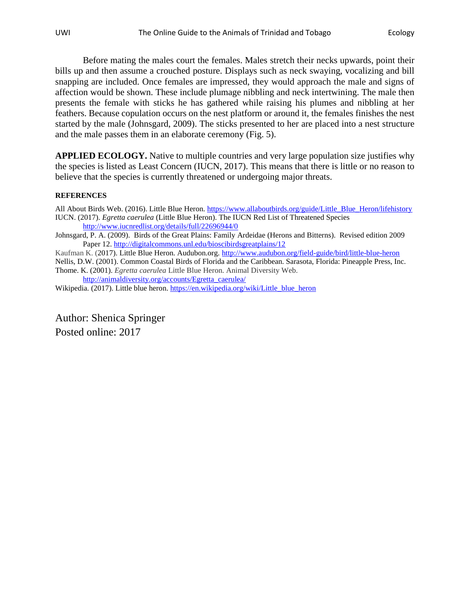Before mating the males court the females. Males stretch their necks upwards, point their bills up and then assume a crouched posture. Displays such as neck swaying, vocalizing and bill snapping are included. Once females are impressed, they would approach the male and signs of affection would be shown. These include plumage nibbling and neck intertwining. The male then presents the female with sticks he has gathered while raising his plumes and nibbling at her feathers. Because copulation occurs on the nest platform or around it, the females finishes the nest started by the male (Johnsgard, 2009). The sticks presented to her are placed into a nest structure and the male passes them in an elaborate ceremony (Fig. 5).

**APPLIED ECOLOGY.** Native to multiple countries and very large population size justifies why the species is listed as Least Concern (IUCN, 2017). This means that there is little or no reason to believe that the species is currently threatened or undergoing major threats.

## **REFERENCES**

All About Birds Web. (2016). Little Blue Heron. [https://www.allaboutbirds.org/guide/Little\\_Blue\\_Heron/lifehistory](https://www.allaboutbirds.org/guide/Little_Blue_Heron/lifehistory) IUCN. (2017). *Egretta caerulea* (Little Blue Heron). The IUCN Red List of Threatened Species <http://www.iucnredlist.org/details/full/22696944/0>

Johnsgard, P. A. (2009). Birds of the Great Plains: Family Ardeidae (Herons and Bitterns). Revised edition 2009 Paper 12.<http://digitalcommons.unl.edu/bioscibirdsgreatplains/12>

Kaufman K. (2017). Little Blue Heron. Audubon.org.<http://www.audubon.org/field-guide/bird/little-blue-heron>

Nellis, D.W. (2001). Common Coastal Birds of Florida and the Caribbean. Sarasota, Florida: Pineapple Press, Inc. Thome. K. (2001). *Egretta caerulea* Little Blue Heron. Animal Diversity Web.

[http://animaldiversity.org/accounts/Egretta\\_caerulea/](http://animaldiversity.org/accounts/Egretta_caerulea/)

Wikipedia. (2017). Little blue heron. [https://en.wikipedia.org/wiki/Little\\_blue\\_heron](https://en.wikipedia.org/wiki/Little_blue_heron)

Author: Shenica Springer Posted online: 2017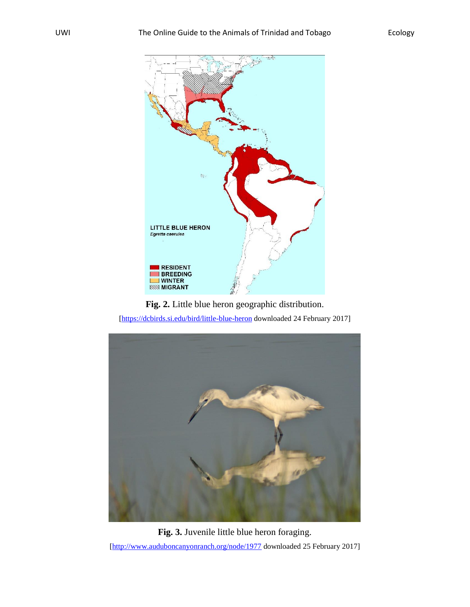

**Fig. 2.** Little blue heron geographic distribution. [\[https://dcbirds.si.edu/bird/little-blue-heron](https://dcbirds.si.edu/bird/little-blue-heron) downloaded 24 February 2017]



**Fig. 3.** Juvenile little blue heron foraging. [\[http://www.auduboncanyonranch.org/node/1977](http://www.auduboncanyonranch.org/node/1977) downloaded 25 February 2017]